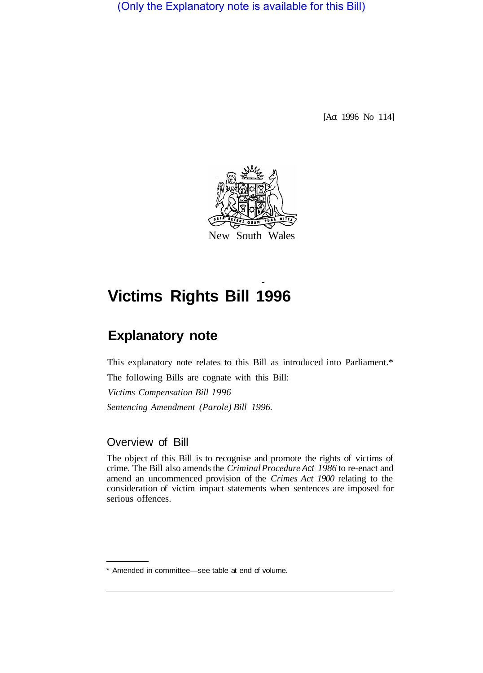(Only the Explanatory note is available for this Bill)

[Act 1996 No 114]



# **Victims Rights Bill 1996**

# **Explanatory note**

This explanatory note relates to this Bill as introduced into Parliament.\*

The following Bills are cognate with this Bill: *Victims Compensation Bill 1996 Sentencing Amendment (Parole) Bill 1996.* 

### Overview of Bill

The object of this Bill is to recognise and promote the rights of victims of crime. The Bill also amends the *Criminal Procedure Act 1986* to re-enact and amend an uncommenced provision of the *Crimes Act 1900* relating to the consideration of victim impact statements when sentences are imposed for serious offences.

<sup>\*</sup> Amended in committee—see table at end of volume.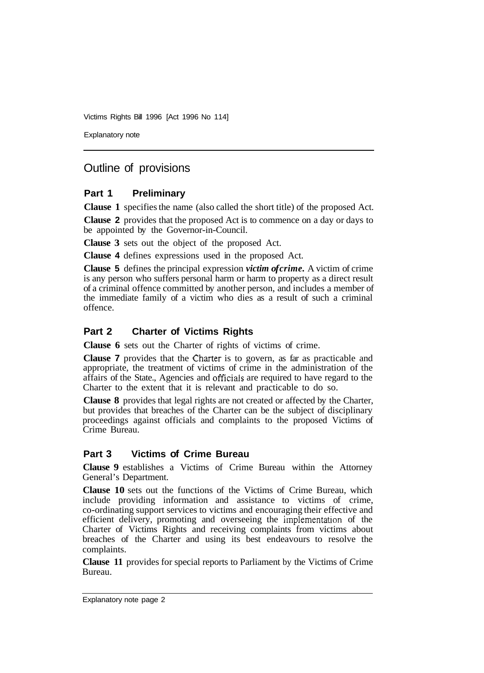Victims Rights Bill 1996 [Act 1996 No 114]

Explanatory note

# Outline of provisions

#### **Part 1 Preliminary**

**Clause 1** specifies the name (also called the short title) of the proposed Act.

**Clause 2** provides that the proposed Act is to commence on a day or days to be appointed by the Governor-in-Council.

**Clause 3** sets out the object of the proposed Act.

**Clause 4** defines expressions used in the proposed Act.

**Clause 5** defines the principal expression *victim of crime.* A victim of crime is any person who suffers personal harm or harm to property as a direct result of a criminal offence committed by another person, and includes a member of the immediate family of a victim who dies as a result of such a criminal offence.

#### **Part 2 Charter of Victims Rights**

**Clause 6** sets out the Charter of rights of victims of crime.

**Clause 7** provides that the Charter is to govern, as far as practicable and appropriate, the treatment of victims of crime in the administration of the affairs of the State., Agencies and officials are required to have regard to the Charter to the extent that it is relevant and practicable to do so.

**Clause 8** provides that legal rights are not created or affected by the Charter, but provides that breaches of the Charter can be the subject of disciplinary proceedings against officials and complaints to the proposed Victims of Crime Bureau.

#### **Part 3 Victims of Crime Bureau**

**Clause 9** establishes a Victims of Crime Bureau within the Attorney General's Department.

**Clause 10** sets out the functions of the Victims of Crime Bureau, which include providing information and assistance to victims of crime, co-ordinating support services to victims and encouraging their effective and efficient delivery, promoting and overseeing the implementation of the Charter of Victims Rights and receiving complaints from victims about breaches of the Charter and using its best endeavours to resolve the complaints.

**Clause 11** provides for special reports to Parliament by the Victims of Crime Bureau.

Explanatory note page 2